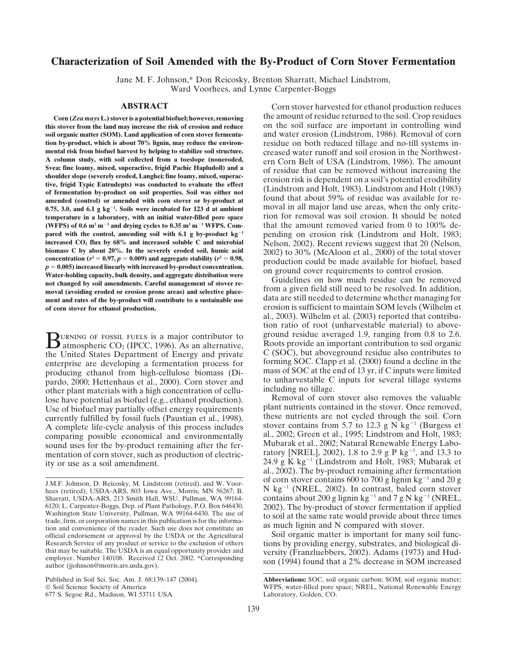# **Characterization of Soil Amended with the By-Product of Corn Stover Fermentation**

Jane M. F. Johnson,\* Don Reicosky, Brenton Sharratt, Michael Lindstrom, Ward Voorhees, and Lynne Carpenter-Boggs

this stover from the land may increase the risk of erosion and reduce **soil organic matter (SOM). Land application of corn stover fermenta-** and water erosion (Lindstrom, 1986). Removal of corn **tion by-product, which is about 70% lignin, may reduce the environ-**<br>mental risk from biofuel harvest by helping to stabilize soil structure.<br>creased water runoff and soil erosion in the Northwest**mental risk from biofuel harvest by helping to stabilize soil structure.** creased water runoff and soil erosion in the Northwest-A column study, with soil collected from a toeslope (noneroded,<br>
Svea; fine loamy, mixed, superactive, frigid Pachic Hapludoll) and a<br>
shoulder slope (severely eroded, Langhei; fine loamy, mixed, superac-<br>
tive, frigid Typ **0.75, 3.0, and 6.1 g kg<sup>-1</sup>. Soils were incubated for 123 d at ambient** moval in all major land use areas, when the only crite**temperature in a laboratory, with an initial water-filled pore space** rion for removal was soil erosion. It should be noted **(WFPS) of 0.6 m3 m<sup>3</sup> and drying cycles to 0.35 m3 m<sup>3</sup> WFPS. Com-** that the amount removed varied from 0 to 100% de**pared with the control, amending soil with 6.1 g by-product kg<sup>-1</sup> pending on erosion risk (Lindstrom and Holt, 1983; increased CO<sub>2</sub> flux by 68% and increased soluble C and microbial Nelson. 2002). Recent reviews suggest** increased CO<sub>2</sub> flux by 68% and increased soluble C and microbial Nelson, 2002). Recent reviews suggest that 20 (Nelson, biomass C by about 20%. In the severely eroded soil, humic acid  $2002$  to 30% (McAloon et al., 2000)  $\boldsymbol{\theta} = 0.97, p = 0.009$ ) and aggregate stability ( $\boldsymbol{r}^2 = 0.97$ **CONCENTERT CONSUMED FOR THE CONSUMPLE FOR A SET OF A SET OF A SET OF SET OF SET OF SET OF SET OF SET OF SET OF SET OF SET OF SET OF SET OF SET OF SET OF SET OF SET OF SET OF SET OF SET OF SET OF SET OF SET OF SET OF SET** Water-holding capacity, bulk density, and aggregate distribution were<br>not changed by soil amendments. Careful management of stover re-<br>may (avaiding avaded a expection prope area) and selective place<br>from a given field sti moval (avoiding eroded or erosion prone areas) and selective place-<br>ment and rates of the by-product will contribute to a sustainable use data are still needed to determine whether managing for ment and rates of the by-product will contribute to a sustainable use **of corn stover for ethanol production.** erosion is sufficient to maintain SOM levels (Wilhelm et

the United States Department of Energy and private enterprise are developing a fermentation process for forming SOC. Clapp et al. (2000) found a decline in the producing ethanol from high-cellulose biomass (Di-<br>mass of SOC at the end of 13 yr, if C inputs were limited producing ethanol from high-cellulose biomass (Di-<br>pardo 2000: Hettenbaus et al. 2000) Corn stover and to unharvestable C inputs for several tillage systems pardo, 2000; Hettenhaus et al., 2000). Corn stover and to unharvestable C other plant materials with a high concentration of cellularing including no tillage. other plant materials with a high concentration of cellu-<br>lose have potential as biofuel (e.g., ethanol production) Removal of corn stover also removes the valuable lose have potential as biofuel (e.g., ethanol production). <br>Lise of biofuel may partially offset energy requirements plant nutrients contained in the stover. Once removed, Use of biofuel may partially offset energy requirements plant nutrients contained in the stover. Once removed,<br>currently fulfilled by fossil fuels (Paustian et al. 1998) these nutrients are not cycled through the soil. Cor currently fulfilled by fossil fuels (Paustian et al., 1998). A complete life-cycle analysis of this process includes stover contains from 5.7 to 12.3 g N kg<sup>-1</sup> (Burgess et comparing possible economical and environmentally al., 2002; Green et al., 1995; Lindstrom and Holt, 1983; comparing possible economical and environmentally al., 2002; Green et al., 1995; Lindstrom and Holt, 1983; sound uses for the by-product remaining after the fer-<br>mentation of corn stover, such as production of electric-<br>m

677 S. Segoe Rd., Madison, WI 53711 USA Laboratory, Golden, CO.

**ABSTRACT** Corn stover harvested for ethanol production reduces **Corn (***Zea mays* **L.) stover is a potential biofuel; however, removing** the amount of residue returned to the soil. Crop residues

al., 2003). Wilhelm et al. (2003) reported that contribution ratio of root (unharvestable material) to aboveground residue averaged 1.9, ranging from 0.8 to 2.6.<br>
atmospheric CO<sub>2</sub> (IPCC, 1996). As an alternative, Roots provide an important contribution to soil organic<br>
the United States Department of Energy and private C (SOC),

ity or use as a soil amendment.<br>
24.9 g K kg<sup>-1</sup> (Lindstrom and Holt, 1983; Mubarak et al., 2002). The by-product remaining after fermentation<br>
of corn stover contains 600 to 700 g lignin kg<sup>-1</sup> and 20 g J.M.F. Johnson, D. Reicosky, M. Lindstrom (retired), and W. Voor-<br>hees (retired), USDA-ARS, 803 Iowa Ave., Morris, MN 56267; B.  $N \text{ kg}^{-1}$  (NREL, 2002). In contrast, baled corn stover Sharratt, USDA-ARS, 213 Smith Hall, WSU, Pullman, WA 99164-<br>6120; L. Carpenter-Boggs, Dep. of Plant Pathology, P.O. Box 646430, 2002). The by-product of stover fermentation if annlied

<sup>6120;</sup> L. Carpenter-Boggs, Dep. of Plant Pathology, P.O. Box 646430,<br>Washington State University, Pullman, WA 99164-6430. The use of<br>trade, firm, or corporation names in this publication is for the informa-<br>tion and conveni official endorsement or approval by the USDA or the Agricultural Soil organic matter is important for many soil functhat may be suitable. The USDA is an equal opportunity provider and<br>employer. Number 140108. Received 12 Oct. 2002. \*Corresponding<br>author (jjohnson@morris.ars.usda.gov).<br>example on (1994) found that a 2% decrease in SOM in

Published in Soil Sci. Soc. Am. J. 68:139–147 (2004). **Abbreviations:** SOC, soil organic carbon; SOM, soil organic matter;<br>© Soil Science Society of America **and Science Society** of America **and Science Society** of America WFPS, water-filled pore space; NREL, National Renewable Energy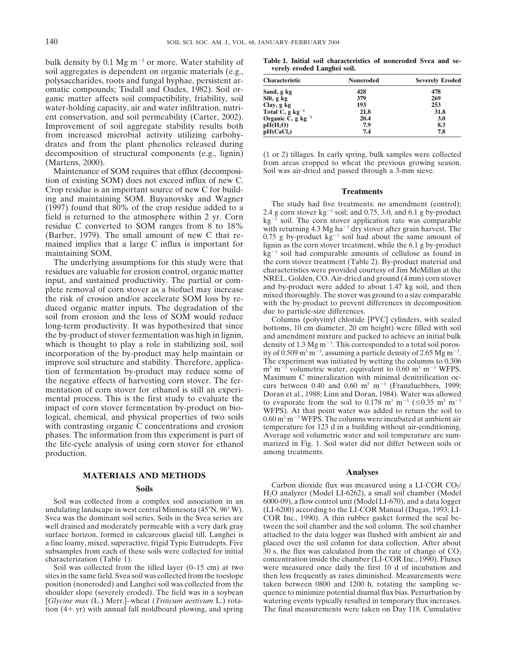bulk density by 0.1 Mg m<sup>-3</sup> or more. Water stability of **Table 1. Initial soil characteristics of noneroded Svea and se-** soil aggregates is dependent on organic materials (e.g., **verely eroded Langhei soil.** polysaccharides, roots and fungal hyphae, persistent aromatic compounds; Tisdall and Oades, 1982). Soil organic matter affects soil compactibility, friability, soil water-holding capacity, air and water infiltration, nutrient conservation, and soil permeability (Carter, 2002). Improvement of soil aggregate stability results both from increased microbial activity utilizing carbohydrates and from the plant phenolics released during decomposition of structural components (e.g., lignin) (1 or 2) tillages. In early spring, bulk samples were collected<br>(Martens, 2000). from areas cropped to wheat the previous growing season.

Maintenance of SOM requires that efflux (decomposi- Soil was air-dried and passed through a 3-mm sieve. tion of existing SOM) does not exceed influx of new C. Crop residue is an important source of new C for build-<br>
ing and maintaining SOM. Buyanovsky and Wagner ing and maintaining SOM. Buyanovsky and Wagner<br>
(1997) found that 80% of the crop residue added to a<br>
field is returned to the atmosphere within 2 yr. Corn<br>
residue C converted to SOM ranges from 8 to 18%<br>
(Barber, 1979). (Barber, 1979). The small amount of new C that re-<br>mained implies that a large C influx is important for lignin as the corn stover treatment, while the 6.1 g by-product maintaining SOM.  $kg^{-1}$  soil had comparable amounts of cellulose as found in

residues are valuable for erosion control, organic matter characteristics were provided courtesy of Jim McMillan at the input, and sustained productivity. The partial or com-<br>Input, and sustained productivity. The partial input, and sustained productivity. The partial or com-<br>plete removal of corn stover as a biofuel may increase<br>the risk of erosion and/or accelerate SOM loss by re-<br>duced organic matter inputs. The degradation of the<br>soil f the by-product of stover fermentation was high in lignin, and amendment mixture and packed to achieve an initial bulk<br>which is thought to play a role in stabilizing soil, soil density of 1.3 Mg m<sup>-3</sup>. This corresponded to incorporation of the by-product may help maintain or ity of  $0.509 \text{ m}^3 \text{ m}^{-3}$ , assuming a particle density of 2.65 Mg m<sup>-3</sup>.<br>improve soil structure and stability. Therefore, applica-<br>The experiment was initiated by w improve soil structure and stability. Therefore, applica-<br>tion of fermentation by-product may reduce some of  $\frac{m^3 m^{-3}}{m}$  volumetric water, equivalent to 0.60 m<sup>3</sup> m<sup>-3</sup> WFPS. tion of fermentation by-product may reduce some of<br>the negative effects of harvesting corn stover. The fer-<br>mentation of corn stover for ethanol is still an experi-<br>mentation of corn stover for ethanol is still an experiinental process. This is the first study to evaluate the<br>impact of corn stover fermentation by-product on bio-<br>logical, chemical, and physical properties of two soils  $0.60 \text{ m}^3 \text{ m}^{-3}$  WFPS. The columns were incubated with contrasting organic C concentrations and erosion temperature for 123 d in a building without air-conditioning. phases. The information from this experiment is part of Average soil volumetric water and soil temperature are sumthe life-cycle analysis of using corn stover for ethanol marized in Fig. 1. Soil water did not differ between soils or production. **among treatments**.

# **MATERIALS AND METHODS Analyses**

undulating landscape in west central Minnesota  $(45°N, 96°W)$ . Svea was the dominant soil series. Soils in the Svea series are COR Inc., 1990). A thin rubber gasket formed the seal be-<br>well drained and moderately permeable with a very dark gray tween the soil chamber and the soil colu well drained and moderately permeable with a very dark gray surface horizon, formed in calcareous glacial till. Langhei is attached to the data logger was flushed with ambient air and a fine loamy, mixed, superactive, frigid Typic Eutrudepts. Five placed over the soil column for da a fine loamy, mixed, superactive, frigid Typic Eutrudepts. Five subsamples from each of these soils were collected for initial  $30 \text{ s}$ , the flux was calculated from the rate of change of  $CO_2$ <br>concentration inside the chamber (LI-COR Inc., 1990). Fluxes

shoulder slope (severely eroded). The field was in a soybean [*Glycine max* (L.) Merr.]-wheat (*Triticum aestivum* L.) rotation (4+ yr) with annual fall moldboard plowing, and spring The final measurements were taken on Day 118. Cumulative

| <b>Characteristic</b>                    | Noneroded | <b>Severely Eroded</b> |
|------------------------------------------|-----------|------------------------|
| Sand, g kg                               | 428       | 478                    |
| Silt, g kg                               | 379       | 269                    |
| Clay, g kg                               | 193       | 253                    |
| Total C, $g \text{ kg}^{-1}$             | 21.8      | 31.8                   |
| Organic $\check{C}$ , g kg <sup>-1</sup> | 20.4      | 3.0                    |
| pH(H <sub>2</sub> O)                     | 7.9       | 8.3                    |
| pH(CaCl <sub>2</sub> )                   | 7.4       | 7.8                    |

from areas cropped to wheat the previous growing season.

The underlying assumptions for this study were that the corn stover treatment (Table 2). By-product material and sidues are valuable for erosion control, organic matter characteristics were provided courtesy of Jim McMilla

density of 1.3 Mg  $m^{-3}$ . This corresponded to a total soil porosity of 0.509 m<sup>3</sup> m<sup>-3</sup>, assuming a particle density of 2.65 Mg m<sup>-3</sup>.

Soils<br>
Soil was collected from a complex soil association in an H<sub>2</sub>O analyzer (Model LI-6262), a small soil chamber (Model LS-670), and a data logger<br>
Soil was collected from a complex soil association in an 6000-09), a f 6000-09), a flow control unit (Model LI-670), and a data logger (LI-6200) according to the LI-COR Manual (Dugas, 1993; LIaracterization (Table 1). concentration inside the chamber (LI-COR Inc., 1990). Fluxes<br>Soil was collected from the tilled layer (0–15 cm) at two were measured once daily the first 10 d of incubation and were measured once daily the first 10 d of incubation and sites in the same field. Svea soil was collected from the toeslope then less frequently as rates diminished. Measurements were position (noneroded) and Langhei soil was collected from the taken between 0800 and 1200 h, rotating the sampling se-<br>shoulder slope (severely eroded). The field was in a soybean quence to minimize potential diurnal flux b watering events typically resulted in temporary flux increases.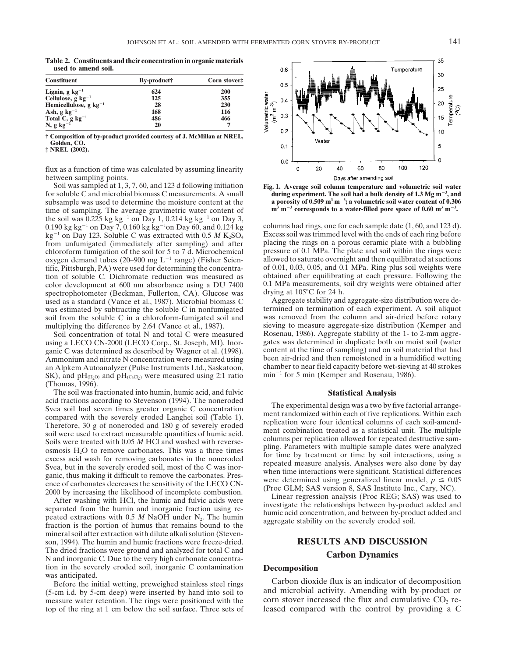**Table 2. Constituents and their concentration in organic materials used to amend soil.**

| <b>Constituent</b>             | By-product <sup>+</sup> | Corn stover: |  |  |
|--------------------------------|-------------------------|--------------|--|--|
| Lignin, g $kg^{-1}$            | 624                     | 200          |  |  |
| Cellulose, $g \text{ kg}^{-1}$ | 125                     | 355          |  |  |
| Hemicellulose, g $kg^{-1}$     | 28                      | 230          |  |  |
| Ash, $g \text{ kg}^{-1}$       | 168                     | 116          |  |  |
| Total $C$ , g $kg^{-1}$        | 486                     | 466          |  |  |
| $N, g kg^{-1}$                 | 20                      | ⇁            |  |  |

**† Composition of by-product provided courtesy of J. McMillan at NREL, Golden, CO.**

**‡ NREL (2002).**

flux as a function of time was calculated by assuming linearity between sampling points.<br>Soil was sampled at 1, 3, 7, 60, and 123 d following initiation

for soluble C and microbial biomass C measurements. A small *during experiment. The soil had a bulk density of 1.3 Mg m<sup>-3</sup>, and* **a bulk and subsample was used to determine the moisture content at the <b>a** porosity of 0.50 subsample was used to determine the moisture content at the **.** time of sampling. The average gravimetric water content of the soil was  $0.225$  kg kg<sup>-1</sup> on Day 1, 0.214 kg kg<sup>-1</sup> on Day 3, chloroform fumigation of the soil for 5 to 7 d. Microchemical oxygen demand tubes (20–900 mg  $L^{-1}$  range) (Fisher Sciencolor development at 600 nm absorbance using a DU 7400 0.1 MPa measurements, spectrophotometer (Beckman, Fullerton, CA). Glucose was drying at  $105^{\circ}$ C for 24 h. spectrophotometer (Beckman, Fullerton, CA). Glucose was drying at 105°C for 24 h.<br>used as a standard (Vance et al., 1987). Microbial biomass C Aggregate stability and aggregate-size distribution were desoil from the soluble C in a chloroform-fumigated soil and

an Alpkem Autoanalyzer (Pulse Instruments Ltd., Saskatoon, chamber to near field capacity before wet-sievin<br>SK), and pH<sub>(H2O)</sub> and pH<sub>(CaCl2</sub>) were measured using 2:1 ratio min<sup>-1</sup> for 5 min (Kemper and Rosenau, 1986). SK), and  $pH<sub>(H<sub>2</sub>O)</sub>$  and  $pH<sub>(CaCl<sub>2</sub>)</sub>$  were measured using 2:1 ratio (Thomas, 1996).

The soil was fractionated into humin, humic acid, and fulvic **Statistical Analysis**<br>acid fractions according to Stevenson (1994). The noneroded acid fractions according to Stevenson (1994). The noneroded<br>
Some soil had seven with the severely eroded Langhei soil (Table 1).<br>
Some predict once the severely eroded and 180 g of severely eroded<br>
Therefore, 30 g of non

mineral soil after extraction with dilute alkali solution (Stevenson, 1994). The humin and humic fractions were freeze-dried. **RESULTS AND DISCUSSION** The dried fractions were ground and analyzed for total C and **Carbon Dynamics** N and inorganic C. Due to the very high carbonate concentration in the severely eroded soil, inorganic C contamination<br>was anticipated.<br>Refore the initial wetting preweighed stainless steel rings Carbon dioxide flux is an indicator of decomposition

Before the initial wetting, preweighed stainless steel rings (5-cm i.d. by 5-cm deep) were inserted by hand into soil to and microbial activity. Amending with by-product or measure water retention. The rings were positioned with the corn stover increased the flux and cumulative  $CO<$ measure water retention. The rings were positioned with the top of the ring at 1 cm below the soil surface. Three sets of leased compared with the control by providing a C



Fig. 1. Average soil column temperature and volumetric soil water  $m^3$   $m^{-3}$  corresponds to a water-filled pore space of 0.60  $m^3$   $m^{-3}$ .

0.190 kg kg<sup>-1</sup> on Day 7, 0.160 kg kg<sup>-1</sup> on Day 60, and 0.124 kg columns had rings, one for each sample date  $(1, 60,$  and 123 d).  $kg^{-1}$  on Day 123. Soluble C was extracted with 0.5 *M* K<sub>2</sub>SO<sub>4</sub> Excess soil was trimmed level with the ends of each ring before from unfumigated (immediately after sampling) and after placing the rings on a porous ceram from unfumigated (immediately after sampling) and after placing the rings on a porous ceramic plate with a bubbling chloroform fumigation of the soil for 5 to 7 d. Microchemical pressure of 0.1 MPa. The plate and soil with allowed to saturate overnight and then equilibrated at suctions of 0.01, 0.03, 0.05, and 0.1 MPa. Ring plus soil weights were tific, Pittsburgh, PA) were used for determining the concentra-<br>tion of soluble C. Dichromate reduction was measured as beginned after equilibrating at each pressure. Following the tion of soluble C. Dichromate reduction was measured as obtained after equilibrating at each pressure. Following the color development at 600 nm absorbance using a DU 7400 0.1 MPa measurements, soil dry weights were obtain

used as a standard (Vance et al., 1987). Microbial biomass C Aggregate stability and aggregate-size distribution were de-<br>was estimated by subtracting the soluble C in nonfumigated termined on termination of each experimen was estimated by subtracting the soluble C in nonfumigated termined on termination of each experiment. A soil aliquot soil from the soluble C in a chloroform-fumigated soil and was removed from the column and air-dried bef multiplying the difference by 2.64 (Vance et al., 1987). sieving to measure aggregate-size distribution (Kemper and Soil concentration of total N and total C were measured Rosenau, 1986). Aggregate stability of the 1- to 2-mm aggre-<br>ing a LECO CN-2000 (LECO Corp., St. Joseph, MI). Inor-<br>gates was determined in duplicate both on moist so using a LECO CN-2000 (LECO Corp., St. Joseph, MI). Inor-<br>ganic C was determined as described by Wagner et al. (1998). Content at the time of sampling) and on soil material that had ganic C was determined as described by Wagner et al. (1998). content at the time of sampling) and on soil material that had<br>Ammonium and nitrate N concentration were measured using been air-dried and then remoistened in a Ammonium and nitrate N concentration were measured using been air-dried and then remoistened in a humidified wetting<br>an Alpkem Autoanalyzer (Pulse Instruments Ltd., Saskatoon, chamber to near field capacity before wet-siev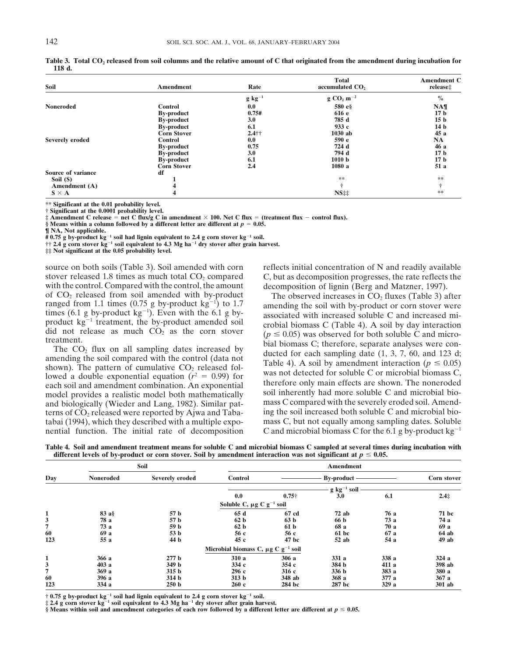| Soil               | <b>Amendment</b>   | Rate        | <b>Total</b><br>accumulated CO <sub>2</sub> | <b>Amendment C</b><br>release‡ |
|--------------------|--------------------|-------------|---------------------------------------------|--------------------------------|
|                    |                    | $g kg^{-1}$ | $g \text{CO}_2 \text{ m}^{-2}$              | $\%$                           |
| <b>Noneroded</b>   | <b>Control</b>     | 0.0         | 580 e§                                      | NA <sub>1</sub>                |
|                    | <b>By-product</b>  | 0.75#       | 616 e                                       | 17 <sub>b</sub>                |
|                    | <b>By-product</b>  | 3.0         | 785 d                                       | 15 <sub>b</sub>                |
|                    | <b>By-product</b>  | 6.1         | 933 $c$                                     | 14 <sub>b</sub>                |
|                    | <b>Corn Stover</b> | $2.4$ ††    | $1030$ ab                                   | 45a                            |
| Severely eroded    | <b>Control</b>     | 0.0         | 590 e                                       | <b>NA</b>                      |
|                    | <b>By-product</b>  | 0.75        | 724 d                                       | 46 a                           |
|                    | <b>By-product</b>  | 3.0         | 794 d                                       | 17 <sub>b</sub>                |
|                    | <b>By-product</b>  | 6.1         | 1010 <sub>b</sub>                           | 17 <sub>b</sub>                |
|                    | <b>Corn Stover</b> | 2.4         | 1080 a                                      | 51 a                           |
| Source of variance | df                 |             |                                             |                                |
| Soil (S)           |                    |             | **                                          | **                             |
| Amendment (A)      |                    |             |                                             |                                |
| $S \times A$       | 4                  |             | NS <sub>‡‡</sub>                            | **                             |

Table 3. Total CO<sub>2</sub> released from soil columns and the relative amount of C that originated from the amendment during incubation for **118 d.**

**\*\* Significant at the 0.01 probability level.**

† Significant at the 0.0001 probability level.<br>‡ Amendment C release = net C flux/g C in amendment × 100. Net C flux = (treatment flux – control flux).

§ Means within a column followed by a different letter are different at  $p = 0.05$ .

**¶ NA, Not applicable.**

# 0.75 g by-product kg<sup>-1</sup> soil had lignin equivalent to 2.4 g corn stover kg<sup>-1</sup> soil.<br>†† 2.4 g corn stover kg<sup>-1</sup> soil equivalent to 4.3 Mg ha<sup>-1</sup> dry stover after grain harvest.<br>‡‡ Not significant at the 0.05 probabilit

stover released 1.8 times as much total  $CO<sub>2</sub>$  compared  $CO<sub>2</sub>$ . C, but as decomposition progresses, the rate reflects the with the control. Compared with the control, the amount decomposition of lignin (Berg and Matzner, 1997).<br>of CO<sub>2</sub> released from soil amended with by-product The observed increases in CO<sub>2</sub> fluxes (Table 3) a of  $CO_2$  released from soil amended with by-product The observed increases in  $CO_2$  fluxes (Table 3) after ranged from 1.1 times (0.75 g by-product kg<sup>-1</sup>) to 1.7 amending the soil with by-product or corn stover were times (6.1 g by-product  $kg^{-1}$ ). Even with the 6.1 g bytimes (6.1 g by-product kg  $^{\circ}$ ). Even with the 6.1 g by-<br>product annul associated with increased soluble C and increased mi-<br>product kg<sup>-1</sup> treatment, the by-product amended soil<br>crobial biomass C (Table 4). A soil by

terns of  $CO<sub>2</sub>$  released were reported by Ajwa and Tabanential function. The initial rate of decomposition C and microbial biomass C for the 6.1 g by-product  $kg^{-1}$ 

source on both soils (Table 3). Soil amended with corn reflects initial concentration of N and readily available

product kg<sup>-1</sup> treatment, the by-product amended soil<br>did not release as much CO<sub>2</sub> as the corn stover<br>treatment.<br>The CO<sub>2</sub> flux on all sampling dates increased by<br>amending the soil compared with the control (data not<br>sho bowed a double exponential equation  $(r^2 = 0.99)$  for<br>each soil and amendment combination. An exponential therefore only main effects are shown. The noneroded<br>model provides a realistic model both mathematically soil inher model provides a realistic model both mathematically soil inherently had more soluble C and microbial bio-<br>and biologically (Wieder and Lang 1982) Similar pat-<br>mass C compared with the severely eroded soil. Amendand biologically (Wieder and Lang, 1982). Similar pat-<br>terns of CO<sub>2</sub> released were reported by Aiwa and Taba-<br>ing the soil increased both soluble C and microbial biotabai (1994), which they described with a multiple expo- mass C, but not equally among sampling dates. Soluble

**Table 4. Soil and amendment treatment means for soluble C and microbial biomass C sampled at several times during incubation with** different levels of by-product or corn stover. Soil by amendment interaction was not significant at  $p \leq 0.05$ .

|              | Soil             |                  |                                                     | <b>Amendment</b> |                      |       |              |  |  |  |
|--------------|------------------|------------------|-----------------------------------------------------|------------------|----------------------|-------|--------------|--|--|--|
| Day          | <b>Noneroded</b> | Severely eroded  | <b>Control</b>                                      |                  | <b>By-product</b>    |       | Corn stover  |  |  |  |
|              |                  |                  |                                                     |                  | $g \ kg^{-1} \ soil$ |       |              |  |  |  |
|              |                  |                  | 0.0                                                 | $0.75\dagger$    | 3.0                  | 6.1   | $2.4+$       |  |  |  |
|              |                  |                  | Soluble C, $\mu$ g C g <sup>-1</sup> soil           |                  |                      |       |              |  |  |  |
| 1            | $83a$ §          | 57 b             | 65 d                                                | 67 cd            | $72$ ab              | 76 a  | <b>71 bc</b> |  |  |  |
| 3            | 78 a             | 57 b             | 62 <sub>b</sub>                                     | 63 <sub>b</sub>  | 66 b                 | 73a   | 74 a         |  |  |  |
| 7            | 73 a             | 59 b             | 62 <sub>b</sub>                                     | 61 <sub>b</sub>  | 68 a                 | 70a   | 69 a         |  |  |  |
| 60           | 69 a             | 53 b             | 56 c                                                | 56 c             | 61 bc                | 67 a  | $64$ ab      |  |  |  |
| 123          | 55 a             | 44 b             | 45c                                                 | 47 bc            | $52$ ab              | 54 a  | 49ab         |  |  |  |
|              |                  |                  | Microbial biomass C, $\mu$ g C g <sup>-1</sup> soil |                  |                      |       |              |  |  |  |
| $\mathbf{1}$ | 366a             | 277 <sub>b</sub> | 310a                                                | 306a             | 331a                 | 338 a | 324a         |  |  |  |
| 3            | 403a             | 349 b            | 334 с                                               | 354c             | 384 b                | 411 a | 398 ab       |  |  |  |
| 7            | 369a             | 315 <sub>b</sub> | 296c                                                | 316c             | 336 b                | 383 a | 380 a        |  |  |  |
| 60           | 396 a            | 314 <sub>b</sub> | 313 <sub>b</sub>                                    | 348 ab           | 368a                 | 377a  | 367a         |  |  |  |
| 123          | 334 a            | 250 <sub>b</sub> | 260c                                                | 284 bc           | 287 bc               | 329a  | 301 ab       |  |  |  |

† 0.75 g by-product kg<sup>-1</sup> soil had lignin equivalent to 2.4 g corn stover kg<sup>-1</sup> soil.<br>‡ 2.4 g corn stover kg<sup>-1</sup> soil equivalent to 4.3 Mg ha<sup>-1</sup> dry stover after grain harvest.

§ Means within soil and amendment categories of each row followed by a different letter are different at  $p \le 0.05$ .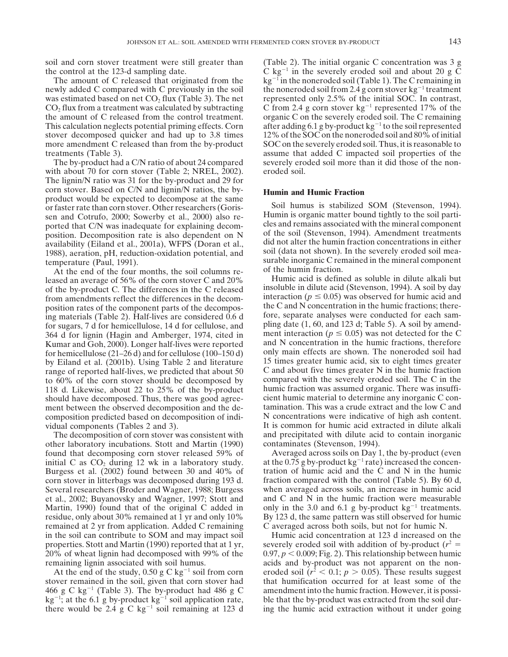the control at the 123-d sampling date.  $C \text{ kg}^{-1}$  in the severely eroded soil and about 20 g C

newly added C compared with C previously in the soil the noneroded soil from 2.4 g corn stover kg<sup>-1</sup> treatment was estimated based on net  $CO_2$  flux (Table 3). The net represented only 2.5% of the initial SOC. In contrast,  $CO<sub>2</sub>$  flux from a treatment was calculated by subtracting  $C$  from 2.4 g corn stover kg<sup>-1</sup> represented 17% of the the amount of C released from the control treatment. organic C on the severely eroded soil. The C remaining This calculation neglects potential priming effects. Corn after adding 6.1 g by-product  $kg^{-1}$  to the soil represented stover decomposed quicker and had up to 3.8 times 12% of the SOC on the noneroded soil and 80% of initial more amendment C released than from the by-product SOC on the severely eroded soil. Thus, it is reasonable to

with about 70 for corn stover (Table 2; NREL, 2002). eroded soil. The lignin/N ratio was 31 for the by-product and 29 for corn stover. Based on C/N and lignin/N ratios, the by- **Humin and Humic Fraction** product would be expected to decompose at the same or faster rate than corn stover. Other researchers (Goris- Soil humus is stabilized SOM (Stevenson, 1994). Sum and Cotrufo, 2000; Sowerby et al., 2000) also re-<br>
Humin is organic matter bound tightly to the soil parti-<br>
norted that C/N was inadequate for explaining decom-<br>
les and remains associated with the mineral component ported that C/N was inadequate for explaining decomposition. Decomposition rate is also dependent on N of the soil (Stevenson, 1994). Amendment treatments availability (Eiland et al. 2001a) WEPS (Doran et al. did not alter the humin fraction concentrations in either

At the end of the four months, the soil columns re-<br>ased an average of 56% of the corn stover C and 20% Humic acid is defined as soluble in dilute alkali but leased an average of 56% of the corn stover C and 20% by Eiland et al. (2001b). Using Table 2 and literature should have decomposed. Thus, there was good agreecomposition predicted based on decomposition of indi-

other laboratory incubations. Stott and Martin (1990) contaminates (Stevenson, 1994). found that decomposing corn stover released 59% of Averaged across soils on Day 1, the by-product (even initial C as CO<sub>2</sub> during 12 wk in a laboratory study. at the 0.75 g by-product  $kg^{-1}$  rate) increased the conceninitial C as  $CO_2$  during 12 wk in a laboratory study. at the 0.75 g by-product kg<sup>-1</sup> rate) increased the concen-<br>Burgess et al. (2002) found between 30 and 40% of tration of humic acid and the C and N in the humic Burgess et al.  $(2002)$  found between 30 and 40% of corn stover in litterbags was decomposed during 193 d. fraction compared with the control (Table 5). By 60 d, Several researchers (Broder and Wagner, 1988; Burgess when averaged across soils, an increase in humic acid et al., 2002; Buyanovsky and Wagner, 1997; Stott and and C and N in the humic fraction were measurable Martin, 1990) found that of the original C added in only in the 3.0 and 6.1 g by-product  $kg^{-1}$  treatments. residue, only about 30% remained at 1 yr and only 10% By 123 d, the same pattern was still observed for humic remained at 2 yr from application. Added C remaining C averaged across both soils, but not for humic N. in the soil can contribute to SOM and may impact soil Humic acid concentration at 123 d increased on the properties. Stott and Martin (1990) reported that at 1 yr, severely eroded soil with addition of by-product  $(r^2 =$ 20% of wheat lignin had decomposed with 99% of the  $0.97, p < 0.009$ ; Fig. 2). This relationship between humic remaining lignin associated with soil humus. acids and by-product was not apparent on the non-

stover remained in the soil, given that corn stover had that humification occurred for at least some of the 466 g C kg<sup>-1</sup> (Table 3). The by-product had 486 g C amendment into the humic fraction. However, it is possi $kg^{-1}$ ; at the 6.1 g by-product kg<sup>-1</sup> soil application rate, ble that the by-product was extracted from the soil durthere would be 2.4 g C kg<sup>-1</sup> soil remaining at 123 d ing the humic acid extraction without it under going

soil and corn stover treatment were still greater than (Table 2). The initial organic C concentration was 3 g The amount of C released that originated from the kg<sup>-1</sup> in the noneroded soil (Table 1). The C remaining in treatments (Table 3). assume that added C impacted soil properties of the The by-product had a C/N ratio of about 24 compared severely eroded soil more than it did those of the non-

availability (Eiland et al., 2001a), WFPS (Doran et al.,<br>
1988), aeration, pH, reduction-oxidation potential, and<br>
temperature (Paul, 1991).<br>
At the end of the four months the soil columns re-<br>
at the end of the four month

of the by-product C. The differences in the C released insoluble in dilute acid (Stevenson, 1994). A soil by day from amendments reflect the differences in the decom-<br>interaction ( $p \le 0.05$ ) was observed for humic acid and position rates of the component parts of the decompos-<br>ing materials (Table 2). Half-lives are considered 0.6 d fore, separate analyses were conducted for each saming materials (Table 2). Half-lives are considered 0.6 d fore, separate analyses were conducted for each sam-<br>for sugars, 7 d for hemicellulose, 14 d for cellulose, and pling date (1, 60, and 123 d; Table 5). A soil by ame 364 d for lignin (Hagin and Amberger, 1974, cited in ment interaction  $(p \le 0.05)$  was not detected for the C<br>Kumar and Goh. 2000). Longer half-lives were reported and N concentration in the humic fractions, therefore Kumar and Goh, 2000). Longer half-lives were reported and N concentration in the humic fractions, therefore for hemicellulose (21–26 d) and for cellulose (100–150 d) only main effects are shown. The noneroded soil had for hemicellulose (21–26 d) and for cellulose (100–150 d) only main effects are shown. The noneroded soil had<br>by Eiland et al. (2001b). Using Table 2 and literature 15 times greater humic acid, six to eight times greater range of reported half-lives, we predicted that about 50 C and about five times greater N in the humic fraction to 60% of the corn stover should be decomposed by compared with the severely eroded soil. The C in the 118 d. Likewise, about 22 to 25% of the by-product humic fraction was assumed organic. There was insuffi-118 d. Likewise, about 22 to 25% of the by-product humic fraction was assumed organic. There was insuffi-<br>should have decomposed. Thus, there was good agree-<br>cient humic material to determine any inorganic C conment between the observed decomposition and the de-<br>composition content and the low C and<br>composition of indi-<br>N concentrations were indicative of high ash content. vidual components (Tables 2 and 3). It is common for humic acid extracted in dilute alkali The decomposition of corn stover was consistent with and precipitated with dilute acid to contain inorganic

At the end of the study, 0.50 g C kg<sup>-1</sup> soil from corn eroded soil  $(r^2 < 0.1; p > 0.05)$ . These results suggest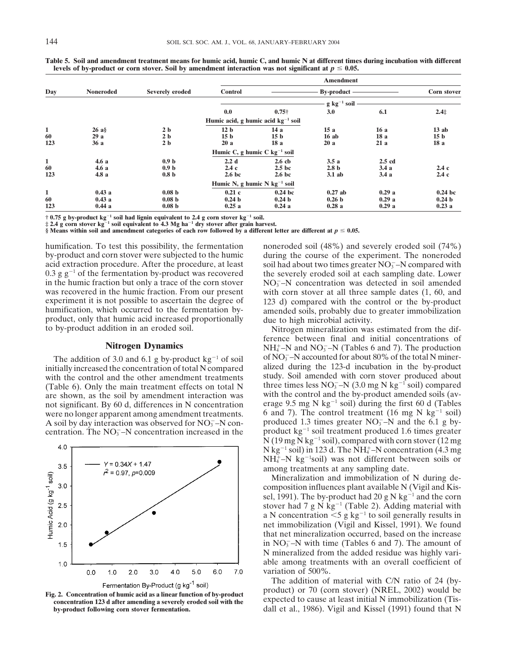|                           |                         |                                                             |                                           |                                                  | <b>Amendment</b>                        |                          |                                                 |  |
|---------------------------|-------------------------|-------------------------------------------------------------|-------------------------------------------|--------------------------------------------------|-----------------------------------------|--------------------------|-------------------------------------------------|--|
| Day                       | <b>Noneroded</b>        | Severely eroded                                             | <b>Control</b>                            |                                                  | <b>By-product</b>                       |                          | Corn stover                                     |  |
|                           |                         |                                                             |                                           |                                                  | $g kg^{-1} soli$                        |                          |                                                 |  |
|                           |                         |                                                             | 0.0                                       | $0.75\dagger$                                    | 3.0                                     | 6.1                      | $2.4+$                                          |  |
|                           |                         |                                                             | Humic acid, g humic acid $kg^{-1}$ soil   |                                                  |                                         |                          |                                                 |  |
| 1<br>60<br>123            | 26a<br>29a<br>36a       | 2 <sub>b</sub><br>2 <sub>b</sub><br>2 <sub>b</sub>          | 12 <sub>b</sub><br>15 <sub>b</sub><br>20a | 14 a<br>15 <sub>b</sub><br>18a                   | 15a<br>16ab<br>20a                      | 16a<br>18a<br>21a        | 13ab<br>15 <sub>b</sub><br>18a                  |  |
|                           |                         |                                                             | Humic C, g humic C $kg^{-1}$ soil         |                                                  |                                         |                          |                                                 |  |
| 1<br>60<br>123            | 4.6a<br>4.6a<br>4.8a    | 0.9 <sub>b</sub><br>0.9 <sub>b</sub><br>0.8 <sub>b</sub>    | 2.2 d<br>2.4c<br>2.6 <sub>b</sub>         | $2.6$ cb<br>2.5 <sub>b</sub><br>2.6 <sub>b</sub> | 3.5a<br>2.8 <sub>b</sub><br>$3.1$ ab    | $2.5$ cd<br>3.4a<br>3.4a | 2.4c<br>2.4c                                    |  |
|                           |                         |                                                             | Humic N, g humic N $kg^{-1}$ soil         |                                                  |                                         |                          |                                                 |  |
| $\mathbf{1}$<br>60<br>123 | 0.43a<br>0.43a<br>0.44a | 0.08 <sub>b</sub><br>0.08 <sub>b</sub><br>0.08 <sub>b</sub> | 0.21c<br>0.24 <sub>b</sub><br>0.25a       | $0.24$ bc<br>0.24 <sub>b</sub><br>0.24a          | $0.27$ ah<br>0.26 <sub>b</sub><br>0.28a | 0.29a<br>0.29a<br>0.29a  | 0.24 <sub>b</sub><br>0.24 <sub>b</sub><br>0.23a |  |

**Table 5. Soil and amendment treatment means for humic acid, humic C, and humic N at different times during incubation with different levels of by-product or corn stover. Soil by amendment interaction was not significant at**  $p \leq 0.05$ **.** 

 $\dagger$  0.75 g by-product kg $^{-1}$  soil had lignin equivalent to 2.4 g corn stover kg $^{-1}$  soil.<br> $\ddagger$  2.4 g corn stover kg $^{-1}$  soil equivalent to 4.3 Mg ha $^{-1}$  dry stover after grain harvest.

§ Means within soil and amendment categories of each row followed by a different letter are different at  $p \le 0.05$ .

acid extraction procedure. After the procedure, at least 0.3  $g g^{-1}$  of the fermentation by-product was recovered in the humic fraction but only a trace of the corn stover was recovered in the humic fraction. From our present product, only that humic acid increased proportionally due to high microbial activity.<br>to by-product addition in an eroded soil. Nitrogen mineralization was estimated from the dif-

## **Nitrogen Dynamics**

with the control and the other amendment treatments A soil by day interaction was observed for  $NO_3^-$ –N concentration. The  $NO_3^-$ –N concentration increased in the





humification. To test this possibility, the fermentation noneroded soil (48%) and severely eroded soil (74%) by-product and corn stover were subjected to the humic during the course of the experiment. The noneroded soil had about two times greater  $NO<sub>3</sub><sup>-</sup>$ N compared with the severely eroded soil at each sampling date. Lower  $NO<sub>3</sub><sup>-</sup>-N$  concentration was detected in soil amended with corn stover at all three sample dates  $(1, 60, 40)$ experiment it is not possible to ascertain the degree of 123 d) compared with the control or the by-product humification, which occurred to the fermentation by-<br>amended soils, probably due to greater immobilization amended soils, probably due to greater immobilization

ference between final and initial concentrations of  $_{4}^{+}$ –N and NO<sub>3</sub>–N (Tables 6 and 7). The production The addition of 3.0 and 6.1 g by-product  $kg^{-1}$  of soil of  $NO_3^-$ –N accounted for about 80% of the total N miner-<br>3 itially increased the concentration of total N compared alized during the 123-d incubation in the by-prod initially increased the concentration of total N compared alized during the 123-d incubation in the by-product<br>with the control and the other amendment treatments study. Soil amended with corn stover produced about (Table 6). Only the main treatment effects on total N three times less  $NO<sub>3</sub> - N$  (3.0 mg N kg<sup>-1</sup> soil) compared are shown, as the soil by amendment interaction was with the control and the by-product amended soils (avnot significant. By 60 d, differences in N concentration serage 9.5 mg N kg<sup>-1</sup> soil) during the first 60 d (Tables were no longer apparent among amendment treatments. 6 and 7). The control treatment (16 mg N kg<sup>-1</sup> soil)<br>A soil by day interaction was observed for NO<sub>2</sub>-N con-<br>produced 1.3 times greater NO<sub>3</sub>-N and the 6.1 g byproduct  $kg^{-1}$  soil treatment produced 1.6 times greater  $N(19 \text{ mg N kg}^{-1} \text{ soil})$ , compared with corn stover (12 mg) N kg<sup>-1</sup> soil) in 123 d. The NH $_4^+$ –N concentration (4.3 mg  $NH_4^+$ -N kg<sup>-1</sup>soil) was not different between soils or among treatments at any sampling date.

> Mineralization and immobilization of N during decomposition influences plant available N (Vigil and Kissel, 1991). The by-product had 20 g N kg<sup>-1</sup> and the corn stover had 7 g N  $\text{kg}^{-1}$  (Table 2). Adding material with a N concentration  $\leq 5$  g kg<sup>-1</sup> to soil generally results in net immobilization (Vigil and Kissel, 1991). We found that net mineralization occurred, based on the increase in  $NO<sub>3</sub><sup>-</sup>-N$  with time (Tables 6 and 7). The amount of N mineralized from the added residue was highly variable among treatments with an overall coefficient of variation of 500%.

The addition of material with C/N ratio of 24 (by-Fig. 2. Concentration of humic acid as a linear function of by-product of the dutition of indiction of indication with C/IN Tatio Of 24 (by-<br>
Fig. 2. Concentration of humic acid as a linear function of by-product or 70 (c dall et al., 1986). Vigil and Kissel (1991) found that N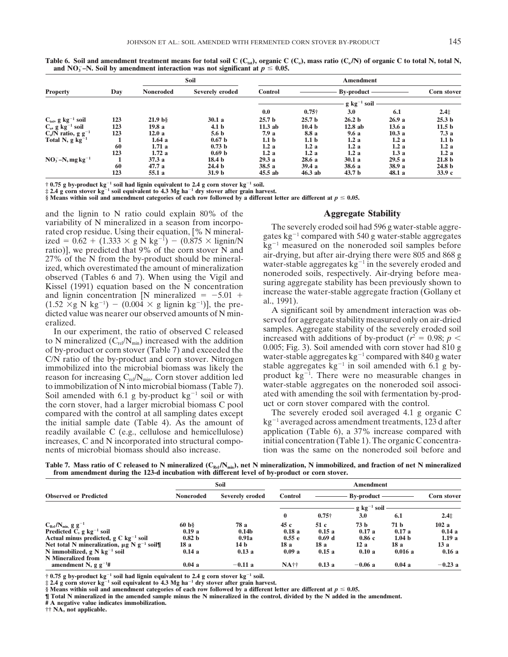|                                            |     | Soil              |                   | <b>Amendment</b>  |                   |                   |        |                    |  |  |
|--------------------------------------------|-----|-------------------|-------------------|-------------------|-------------------|-------------------|--------|--------------------|--|--|
| <b>Property</b>                            | Day | <b>Noneroded</b>  | Severely eroded   | <b>Control</b>    |                   | <b>By-product</b> |        | <b>Corn stover</b> |  |  |
|                                            |     |                   |                   | $g kg^{-1} soli$  |                   |                   |        |                    |  |  |
|                                            |     |                   |                   | 0.0               | $0.75\dagger$     | 3.0               | 6.1    | $2.4+$             |  |  |
| $C_{\text{tot}}$ , g kg <sup>-1</sup> soil | 123 | 21.9 <sub>b</sub> | 30.1a             | 25.7 <sub>b</sub> | 25.7 <sub>b</sub> | 26.2 <sub>b</sub> | 26.9a  | 25.3 <sub>b</sub>  |  |  |
| $C_0$ , g kg <sup>-1</sup> soil            | 123 | 19.8 a            | 4.1 <sub>b</sub>  | $11.3$ ab         | 10.4 <sub>b</sub> | 12.8ab            | 13.6a  | 11.5 <sub>b</sub>  |  |  |
| $C_0/N$ ratio, g g <sup>-1</sup>           | 123 | 12.0a             | 5.6 <sub>b</sub>  | 7.9 a             | 8.8 a             | 9.6a              | 10.3a  | 7.3a               |  |  |
| Total N, $g \text{ kg}^{-1}$               |     | 1.64a             | 0.67 <sub>b</sub> | 1.1 <sub>b</sub>  | 1.1 <sub>b</sub>  | 1.2a              | 1.2a   | 1.1 <sub>b</sub>   |  |  |
|                                            | 60  | 1.71a             | 0.73 <sub>b</sub> | 1.2a              | 1.2a              | 1.2a              | 1.2a   | 1.2a               |  |  |
|                                            | 123 | 1.72a             | 0.69 <sub>b</sub> | 1.2a              | 1.2a              | 1.2a              | 1.3a   | 1.2a               |  |  |
| $NO_3^-$ -N, mg kg <sup>-1</sup>           |     | 37.3a             | 18.4 <sub>b</sub> | 29.3a             | 28.6a             | 30.1a             | 29.5a  | 21.8 <sub>b</sub>  |  |  |
|                                            | 60  | 47.7 a            | 24.4 <sub>b</sub> | 38.5a             | 39.4a             | 38.6 a            | 38.9 a | 24.8 <sub>b</sub>  |  |  |
|                                            | 123 | 55.1 a            | 31.9 <sub>b</sub> | $45.5$ ab         | $46.3$ ab         | 43.7 <sub>b</sub> | 48.1 a | 33.9c              |  |  |

Table 6. Soil and amendment treatment means for total soil C (C<sub>tot</sub>), organic C (C<sub>o</sub>), mass ratio (C<sub>o</sub>/N) of organic C to total N, total N, and NO<sub>3</sub><sup> $-$ </sup>N. Soil by amendment interaction was not significant at  $p \leq 0.05$ .

† 0.75 g by-product kg<sup>-1</sup> soil had lignin equivalent to 2.4 g corn stover kg<sup>-1</sup> soil.<br>‡ 2.4 g corn stover kg<sup>-1</sup> soil equivalent to 4.3 Mg ha<sup>-1</sup> dry stover after grain harvest.

§ Means within soil and amendment categories of each row followed by a different letter are different at  $p \le 0.05$ .

and the lignin to N ratio could explain 80% of the **Aggregate Stability** variability of N mineralized in a season from incorpo-<br>rated crop residue. Using their equation,  $\lbrack\% N \rbrack$  mineral-<br>ized = 0.62 + (1.333 × g N kg<sup>-1</sup>) - (0.875 × lignin/N kg<sup>-1</sup> measured on the nonorded soil samples b and lignin concentration [N mineralized =  $-5.01 +$  mcrease u<br>(1.52 ×g N kg<sup>-1</sup>) – (0.004 × g lignin kg<sup>-1</sup>)], the pre-(1.52  $\times$  g N kg<sup>-1</sup>) – (0.004  $\times$  g lignin kg<sup>-1</sup>)], the pre-<br>dicted value was nearer our observed amounts of N min-<br>eralized.<br>In our experiment, the ratio of observed C released samples. Aggregate stability of the sev

to N mineralized (C<sub>rel</sub>/N<sub>min</sub>) increased with the addition increased with additions of by-product ( $r^2 = 0.98$ ;  $p <$ <br>of by-product or corn stover (Table 7) and exceeded the 0.005; Fig. 3). Soil amended with corn stover of by-product or corn stover (Table 7) and exceeded the  $C/N$  ratio of the by-product and corn stover. Nitrogen water-stable aggregates  $kg^{-1}$  compared with 840 g water immobilized into the microbial biomass was likely the stable aggregates kg<sup>-1</sup> in soil amended with 6.1 g by-<br>reason for increasing C<sub>rel</sub>/N<sub>min</sub>. Corn stover addition led product kg<sup>-1</sup>. There were no measurable changes to immobilization of N into microbial biomass (Table 7). water-stable aggregates on the noneroded soil associ-<br>Soil amended with 6.1 g by-product  $k\sigma^{-1}$  soil or with atted with amending the soil with fermentation by-pro Soil amended with 6.1 g by-product  $kg^{-1}$  soil or with ated with amending the soil with fermentation the corn stover, had a larger microbial biomass C pool uct or corn stover compared with the control. the corn stover, had a larger microbial biomass C pool uct or corn stover compared with the control.<br>
compared with the control at all sampling dates except The severely eroded soil averaged 4.1 g organic C compared with the control at all sampling dates except readily available C (e.g., cellulose and hemicellulose) nents of microbial biomass should also increase. tion was the same on the noneroded soil before and

ized =  $0.62 + (1.333 \times g N kg^{-1}) - (0.875 \times liquid)$ <br>
ratio)], we predicted that 9% of the corn stover N and<br>
27% of the N from the by-product should be mineral-<br>
ized, which overestimated the amount of mineralization<br>
observed (Table

In our experiment, the ratio of observed C released samples. Aggregate stability of the severely eroded soil<br>to N mineralized (C<sub>re</sub>/N<sub>min</sub>) increased with the additions of by-product (*r*<sup>2</sup> = 0.98; *p* <

the initial sample date (Table 4). As the amount of  $kg^{-1}$  averaged across amendment treatments, 123 d after readily available C (e.g., cellulose and hemicellulose) application (Table 6), a 37% increase compared with increases, C and N incorporated into structural compo- initial concentration (Table 1). The organic C concentra-

|  |  |  |  | Table 7. Mass ratio of C released to N mineralized (C <sub>Rel</sub> /N <sub>min</sub> ), net N mineralization, N immobilized, and fraction of net N mineralized |  |  |
|--|--|--|--|------------------------------------------------------------------------------------------------------------------------------------------------------------------|--|--|
|  |  |  |  | from amendment during the 123-d incubation with different level of by-product or corn stover.                                                                    |  |  |

|                                                             |                   | <b>Soil</b>       | <b>Amendment</b> |                          |          |                   |                    |  |
|-------------------------------------------------------------|-------------------|-------------------|------------------|--------------------------|----------|-------------------|--------------------|--|
| <b>Observed or Predicted</b>                                | Noneroded         | Severely eroded   | <b>Control</b>   | <b>By-product</b>        |          |                   | <b>Corn stover</b> |  |
|                                                             |                   |                   |                  | $g \text{ kg}^{-1}$ soil |          |                   |                    |  |
|                                                             |                   |                   | 0                | $0.75\dagger$            | 3.0      | 6.1               | $2.4+$             |  |
| $C_{\text{Rel}}/N_{\text{min}}$ g g <sup>-1</sup>           | 60 <sub>b</sub>   | 78 a              | 45 с             | 51 c                     | 73 b     | 71 b              | 102a               |  |
| Predicted C, $g \text{ kg}^{-1}$ soil                       | 0.19a             | 0.14 <sub>b</sub> | 0.18a            | 0.15a                    | 0.17a    | 0.17a             | 0.14a              |  |
| Actual minus predicted, $g C kg^{-1} soli$                  | 0.82 <sub>b</sub> | 0.91a             | 0.55 e           | 0.69 <sub>d</sub>        | 0.86c    | 1.04 <sub>b</sub> | 1.19a              |  |
| Net total N mineralization, $\mu$ g N g <sup>-1</sup> soil¶ | 18 a              | 14 b              | 18 a             | 18 a                     | 12a      | 18 a              | 13 a               |  |
| N immobilized, $g \text{N}$ kg <sup>-1</sup> soil           | 0.14a             | 0.13a             | 0.09a            | 0.15a                    | 0.10a    | 0.016a            | 0.16a              |  |
| N Mineralized from                                          |                   |                   |                  |                          |          |                   |                    |  |
| amendment N, $g g^{-1}$ #                                   | 0.04a             | $-0.11 a$         | NA††             | 0.13a                    | $-0.06a$ | 0.04a             | $-0.23a$           |  |

 $\dagger$  0.75 g by-product kg $^{-1}$  soil had lignin equivalent to 2.4 g corn stover kg $^{-1}$  soil.<br> $\ddagger$  2.4 g corn stover kg $^{-1}$  soil equivalent to 4.3 Mg ha $^{-1}$  dry stover after grain harvest.

§ Means within soil and amendment categories of each row followed by a different letter are different at  $p \le 0.05$ .

**¶ Total N mineralized in the amended sample minus the N mineralized in the control, divided by the N added in the amendment.**

**# A negative value indicates immobilization.**

**†† NA, not applicable.**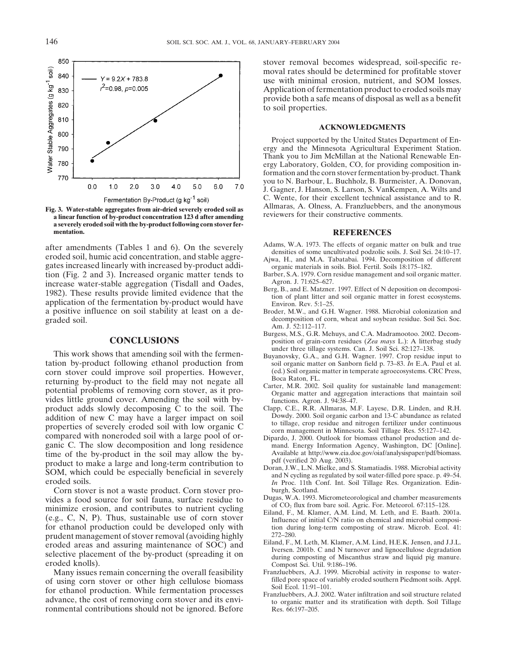

**a severely eroded soil with the by-product following corn stover fer-**

after amendments (Tables 1 and 6). On the severely<br>eroded soil, humic acid concentration, and stable aggre-<br>gates increased linearly with increased by-product addi-<br>gates increased linearly with increased by-product addi-<br> gates increased linearly with increased by-product addition (Fig. 2 and 3). Increased organic matter tends to Barber, S.A. 1979. Corn residue management and soil organic matter.<br>
increase water-stable aggregation (Tisdall and Oades Agron. J. 71:625–627. increase water-stable aggregation (Tisdall and Oades,<br>1982). These results provide limited evidence that the<br>application of the fermentation by-product would have<br>a positive influence on soil stability at least on a de-<br>Br graded soil. **decomposition of corn, wheat and soybean residue.** Soil Sci. Soc.

This work shows that amending soil with the fermen-<br>tion by-product following ethanol production from<br>soil organic matter on Sanborn field p. 73–83. In E.A. Paul et al. tation by-product following ethanol production from corn stover could improve soil properties. However, (ed.) Soil organic matter in temperate agroecosystems. CRC Press, returning by-product to the field may not negate all<br>potential problems of removing corn stover, as it pro-<br>vides little ground cover. Amending the soil with by-<br>functions. Agron. J. 94:38-47. product adds slowly decomposing C to the soil. The Clapp, C.E., R.R. Allmaras, M.F. Layese, D.R. Linden, and R.H. addition of new C may have a larger impact on soil Dowdy. 2000. Soil organic carbon and 13-C abundance as re addition of new C may have a larger impact on soil<br>properties of severely eroded soil with low organic C<br>compared with noneroded soil with a large pool of or-<br>ganic C. The slow decomposition and long residence<br>ganic C. The ganic C. The slow decomposition and long residence mand. Energy Information Agency, Washington, DC [Online].<br>
time of the by-product in the soil may allow the by-<br>
Available at http://www.eia.doe.gov/oiaf/analysispaper/pdf time of the by-product in the soil may allow the by-<br>
product to make a large and long-term contribution to<br>
SOM, which could be especially beneficial in severely<br>
and N cycling as regulated by and S. Stamatiadis. 1988. Mi

Corn stover is not a waste product. Corn stover pro-<br>des a food source for soil fauna, surface residue to Dugas, W.A. 1993. Micrometeorological and chamber measurements vides a food source for soil fauna, surface residue to<br>minimize erosion, and contributes to nutrient cycling<br>(e.g., C, N, P). Thus, sustainable use of corn stover<br>for ethanol production could be developed only with<br>the dir for ethanol production could be developed only with tion during the tion during region of stover removal (avoiding bigbly  $272-280$ ). prudent management of stover removal (avoiding highly 272–280.<br>eroded areas, and assuring maintenance of SOC) and Eiland, F., M. Leth, M. Klamer, A.M. Lind, H.E.K. Jensen, and J.J.L.

Many issues remain concerning the overall feasibility Franzluebbers, A.J. 1999. Microbial activity in response to water-<br>Illuloge biomass filled pore space of variably eroded southern Piedmont soils. Appl. of using corn stover or other high cellulose biomass<br>for ethanol production. While fermentation processes<br>advance, the cost of removing corn stover and its envi-<br>alter and its stratification with depth. Soil Tillage ronmental contributions should not be ignored. Before Res.  $66:197-205$ .

stover removal becomes widespread, soil-specific removal rates should be determined for profitable stover use with minimal erosion, nutrient, and SOM losses. Application of fermentation product to eroded soils may provide both a safe means of disposal as well as a benefit to soil properties.

### **ACKNOWLEDGMENTS**

Project supported by the United States Department of Energy and the Minnesota Agricultural Experiment Station. Thank you to Jim McMillan at the National Renewable Energy Laboratory, Golden, CO, for providing composition information and the corn stover fermentation by-product. Thank you to N. Barbour, L. Buchholz, B. Burmeister, A. Donovan, J. Gagner, J. Hanson, S. Larson, S. VanKempen, A. Wilts and C. Wente, for their excellent technical assistance and to R. Fermentation By-Product (g kg<sup>-1</sup> soil)<br>Fig. 3. Water-stable aggregates from air-dried severely eroded soil as<br>a linear function of by-product concentration 123 d after amending<br>a linear function of by-product concentrati

## **mentation. REFERENCES**

- 
- 
- 
- 
- Broder, M.W., and G.H. Wagner. 1988. Microbial colonization and Am. J. 52:112–117.
- Burgess, M.S., G.R. Mehuys, and C.A. Madramootoo. 2002. Decom-**CONCLUSIONS** position of grain-corn residues (*Zea mays* L.): A litterbag study under three tillage systems. Can. J. Soil Sci. 82:127–138.
	-
	-
	-
	-
	- In Proc. 11th Conf. Int. Soil Tillage Res. Organization. Edin-
	-
	-
- eroded areas and assuring maintenance of SOC) and<br>selective placement of the by-product (spreading it on<br>eroded knolls).<br>Many issues remain concerning the overall feasibility<br>Many issues remain concerning the overall feasi
	-
	-